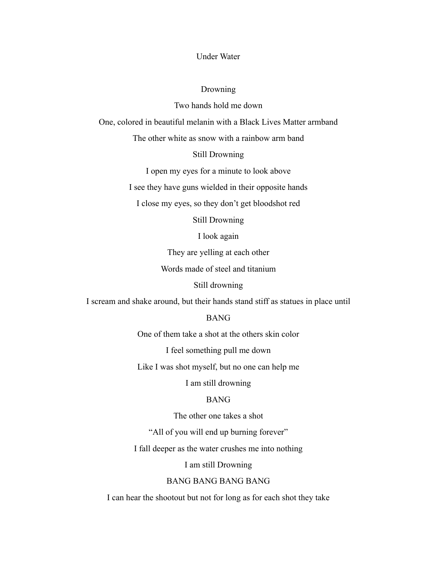# Under Water

#### Drowning

Two hands hold me down

One, colored in beautiful melanin with a Black Lives Matter armband

The other white as snow with a rainbow arm band

### Still Drowning

I open my eyes for a minute to look above

I see they have guns wielded in their opposite hands

I close my eyes, so they don't get bloodshot red

Still Drowning

I look again

They are yelling at each other

Words made of steel and titanium

Still drowning

I scream and shake around, but their hands stand stiff as statues in place until

BANG

One of them take a shot at the others skin color

I feel something pull me down

Like I was shot myself, but no one can help me

I am still drowning

## BANG

The other one takes a shot

"All of you will end up burning forever"

I fall deeper as the water crushes me into nothing

I am still Drowning

## BANG BANG BANG BANG

I can hear the shootout but not for long as for each shot they take